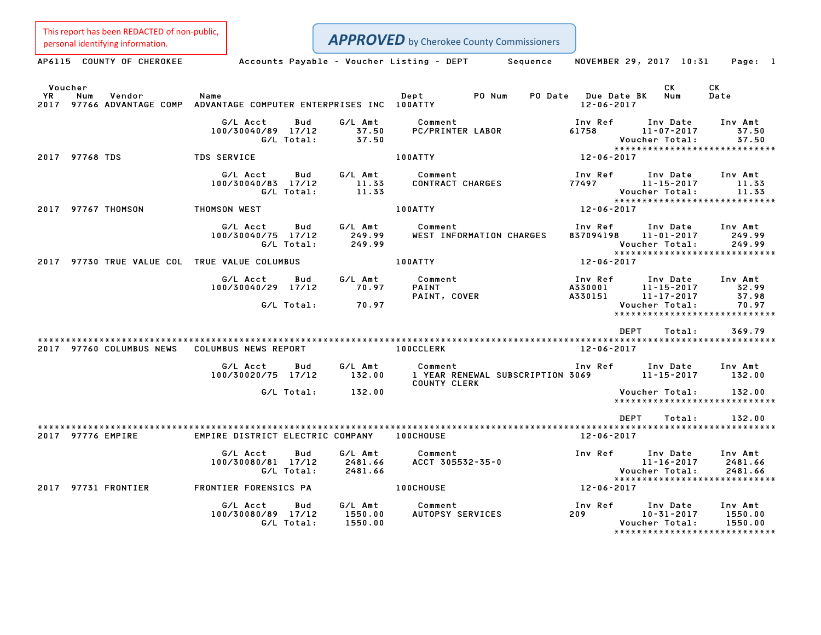This report has been REDACTED of non-public,<br>personal identifying information.

| personal identifying information.                                                                      |                                                     |                                    | <b>APPROVED</b> by Cherokee County Commissioners      |                                         |                                                                                                               |                                                                |
|--------------------------------------------------------------------------------------------------------|-----------------------------------------------------|------------------------------------|-------------------------------------------------------|-----------------------------------------|---------------------------------------------------------------------------------------------------------------|----------------------------------------------------------------|
| AP6115 COUNTY OF CHEROKEE                                                                              |                                                     |                                    | Accounts Payable – Voucher Listing – DEPT<br>Sequence |                                         |                                                                                                               | NOVEMBER 29, 2017 10:31    Page: 1                             |
| Voucher<br>YR<br>Num<br>Vendor<br>2017 97766 ADVANTAGE COMP ADVANTAGE COMPUTER ENTERPRISES INC 100ATTY | Name                                                |                                    | Dept<br>PO Num                                        | PO Date Due Date BK<br>$12 - 06 - 2017$ | CK<br>Num                                                                                                     | CK<br>Date                                                     |
|                                                                                                        | G/L Acct<br>Bud<br>100/30040/89 17/12<br>G/L Total: | G/L Amt<br>37.50<br>37.50          | Comment<br>PC/PRINTER LABOR                           | Inv Ref<br>61758                        | Inv Date<br>11-07-2017<br><b>Voucher Total:</b>                                                               | Inv Amt<br>37.50<br>37.50                                      |
| 2017 97768 TDS                                                                                         | <b>TDS SERVICE</b>                                  |                                    | 100ATTY                                               | $12 - 06 - 2017$                        |                                                                                                               | *****************************                                  |
|                                                                                                        | G/L Acct<br>100/30040/83 17/12<br>G/L Total:        | G/L Amt<br>Bud<br>11.33<br>11.33   | Comment<br><b>CONTRACT CHARGES</b>                    | Inv Ref<br>77497                        | Inv Date<br>11-15-2017<br>Voucher Total:                                                                      | Inv Amt<br>11.33<br>11.33<br>*****************************     |
| 2017 97767 THOMSON                                                                                     | <b>THOMSON WEST</b>                                 |                                    | 100ATTY                                               | 12-06-2017                              |                                                                                                               |                                                                |
|                                                                                                        | G/L Acct<br>100/30040/75 17/12<br>G/L Total:        | G/L Amt<br>Bud<br>249.99<br>249.99 | Comment<br>WEST INFORMATION CHARGES                   |                                         | Inv Ref      Inv Date<br>837094198 11-01-2017<br>Voucher Total:                                               | Inv Amt<br>249.99<br>249.99<br>*****************************   |
| 2017 97730 TRUE VALUE COL TRUE VALUE COLUMBUS                                                          |                                                     |                                    | 100ATTY                                               | 12-06-2017                              |                                                                                                               |                                                                |
|                                                                                                        | G/L Acct<br>Bud<br>100/30040/29 17/12<br>G/L Total: | G/L Amt<br>70.97<br>70.97          | Comment<br>PAINT<br>PAINT, COVER                      | Inv Ref                                 | Inv Date Inv Amt<br>A330001<br>A330001 11-15-2017<br>A330151 11-17-2017<br>$11 - 15 - 2017$<br>Voucher Total: | 32.99<br>37.98<br>70.97<br>*****************************       |
|                                                                                                        |                                                     |                                    |                                                       |                                         | DEPT<br>Total:                                                                                                | 369.79                                                         |
| 2017 97760 COLUMBUS NEWS                                                                               | COLUMBUS NEWS REPORT                                |                                    | <b>100CCLERK</b>                                      | 12-06-2017                              |                                                                                                               |                                                                |
|                                                                                                        | G/L Acct<br>Bud<br>100/30020/75 17/12               | G/L Amt<br>132.00                  | Comment<br><b>COUNTY CLERK</b>                        |                                         |                                                                                                               | Inv Amt<br>132.00                                              |
|                                                                                                        | G/L Total:                                          | 132.00                             |                                                       |                                         | Voucher Total:                                                                                                | 132.00<br>*****************************                        |
| 2017 97776 EMPIRE                                                                                      | EMPIRE DISTRICT ELECTRIC COMPANY 100CHOUSE          |                                    |                                                       | 12-06-2017                              | DEPT<br>Total:                                                                                                | 132.00                                                         |
|                                                                                                        | G/L Acct<br>Bud<br>100/30080/81 17/12<br>G/L Total: | G/L Amt<br>2481.66<br>2481.66      | Comment<br>ACCT 305532-35-0                           |                                         | Inv Ref Inv Date<br>$11 - 16 - 2017$<br><b>Voucher Total:</b>                                                 | Inv Amt<br>2481.66<br>2481.66<br>***************************** |
| 2017 97731 FRONTIER                                                                                    | FRONTIER FORENSICS PA                               |                                    | <b>100CHOUSE</b>                                      | 12-06-2017                              |                                                                                                               |                                                                |
|                                                                                                        | G/L Acct<br>Bud<br>100/30080/89 17/12<br>G/L Total: | G/L Amt<br>1550.00<br>1550.00      | Comment<br>AUTOPSY SERVICES                           | Inv Ref<br>209                          | Inv Date<br>$10 - 31 - 2017$<br>Voucher Total:                                                                | Inv Amt<br>1550.00<br>1550.00                                  |

\*\*\*\*\*\*\*\*\*\*\*\*\*\*\*\*\*\*\*\*\*\*\*\*\*\*\*\*\*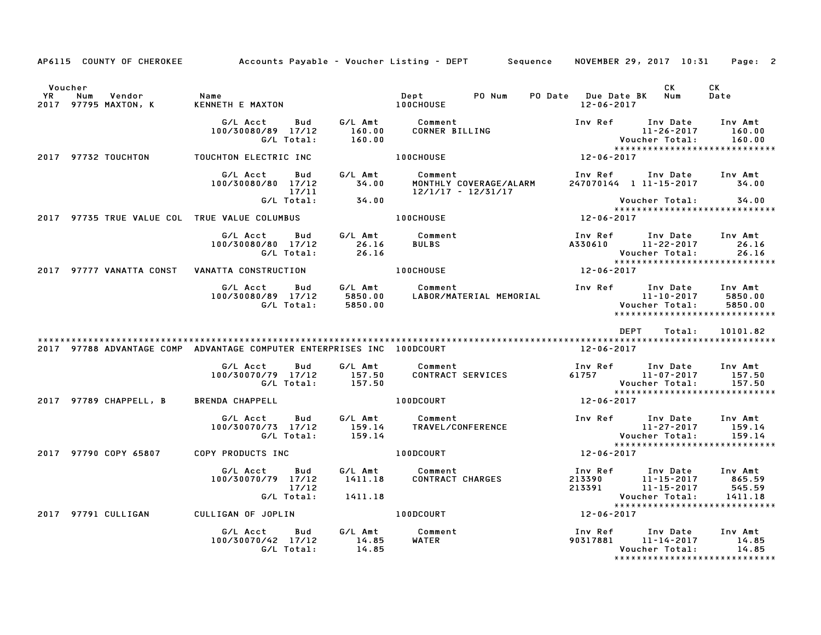|                      |                                       |                                                                                 |                    | AP6115 COUNTY OF CHEROKEE Accounts Payable - Voucher Listing - DEPT Sequence | NOVEMBER 29, 2017 10:31                                                                                 | Page: 2                     |
|----------------------|---------------------------------------|---------------------------------------------------------------------------------|--------------------|------------------------------------------------------------------------------|---------------------------------------------------------------------------------------------------------|-----------------------------|
| Voucher<br><b>YR</b> | Vendor<br>Num<br>2017 97795 MAXTON, K | Name<br>KENNETH E MAXTON                                                        |                    | PO Num<br>$\texttt{Depth}$<br><b>100CHOUSE</b>                               | CK<br>PO Date Due Date BK Num<br>12-06-2017                                                             | CK<br>Date                  |
|                      |                                       | G/L Acct<br><b>Bud</b><br>100/30080/89 17/12<br>G/L Total:                      | 160.00<br>160.00   | G/L Amt Comment                                                              |                                                                                                         |                             |
|                      | 2017 97732 TOUCHTON                   | TOUCHTON ELECTRIC INC                                                           |                    | $12 - 06 - 2017$<br><b>100CHOUSE</b>                                         |                                                                                                         |                             |
|                      |                                       | G/L Acct<br><b>Bud</b><br>100/30080/80 17/12 34.00<br>17/11<br>G/L Total: 34.00 |                    | G/L Amt Comment<br>MONTHLY COVERAGE/ALARM<br>$12/1/17 - 12/31/17$            | Inv Ref      Inv Date     Inv Amt<br>247070144 1 11-15-2017 34.00                                       |                             |
|                      |                                       |                                                                                 |                    |                                                                              | Voucher Total:<br>*****************************                                                         | 34.00                       |
|                      |                                       | 2017 97735 TRUE VALUE COL TRUE VALUE COLUMBUS THE RESIDENCE RESIDENCE.          |                    |                                                                              | $12 - 06 - 2017$                                                                                        |                             |
|                      |                                       | G/L Acct Bud<br>100/30080/80 17/12<br>G/L Total:                                | 26.16<br>26.16     | G/L Amt Comment<br><b>BULBS</b>                                              | Inv Ref Inv Date Inv Amt<br>A330610 11-22-2017<br>Voucher Total:                                        | 26.16<br>26.16              |
|                      |                                       |                                                                                 |                    | 100CHOUSE                                                                    | 12-06-2017                                                                                              |                             |
|                      |                                       | G/L Acct<br>100/30080/89 17/12                                                  |                    | Bud G/L Amt Comment                                                          | Inv Ref Inv Date Inv Amt<br>11-10-2017<br>*****************************                                 | 5850.00<br>5850.00          |
|                      |                                       |                                                                                 |                    |                                                                              | DEPT<br>Total:                                                                                          | 10101.82                    |
|                      |                                       | 2017 97788 ADVANTAGE COMP ADVANTAGE COMPUTER ENTERPRISES INC 100DCOURT          |                    |                                                                              | 12-06-2017                                                                                              |                             |
|                      |                                       | G/L Acct<br>Bud<br>100/30070/79 17/12<br>G/L Total:                             | 157.50<br>157.50   | G/L Amt Comment<br>CONTRACT SERVICES                                         | Inv Ref Inv Date<br>61757 11-07-2017<br>Voucher Total:<br>*****************************                 | Inv Amt<br>157.50<br>157.50 |
|                      | 2017 97789 CHAPPELL, B                | <b>BRENDA CHAPPELL</b>                                                          |                    | 100DCOURT                                                                    | $12 - 06 - 2017$                                                                                        |                             |
|                      |                                       | G/L Acct<br><b>Bud</b><br>100/30070/73 17/12<br>G/L Total:                      |                    | G/L Amt Comment<br>159.14 TRAVEL/CONFERENCE<br>159.14                        | Inv Ref Inv Date<br>11-27-2017<br>Voucher Total:                                                        | Inv Amt<br>159.14<br>159.14 |
|                      | 2017 97790 COPY 65807                 | COPY PRODUCTS INC                                                               |                    | 100DCOURT                                                                    | $12 - 06 - 2017$                                                                                        |                             |
|                      |                                       | G/L Acct<br>Bud<br>100/30070/79 17/12<br>17/12<br>G/L Total:                    | 1411.18<br>1411.18 | G/L Amt Comment<br>CONTRACT CHARGES                                          | Inv Ref      Inv Date     Inv Amt<br>213390<br>213391 11-15-2017<br>213391 11-15-2017<br>Voucher Total: | 865.59<br>545.59<br>1411.18 |
|                      | 2017 97791 CULLIGAN                   | CULLIGAN OF JOPLIN                                                              |                    | 100DCOURT                                                                    | $12 - 06 - 2017$                                                                                        |                             |
|                      |                                       | G/L Acct Bud<br>100/30070/42 17/12<br>G/L Total:                                | 14.85<br>14.85     | G/L Amt Comment<br>WATER                                                     | Inv Ref Inv Date Inv Amt<br>90317881 11-14-2017 14.85<br>Voucher Total:                                 | 14.85<br>14.85              |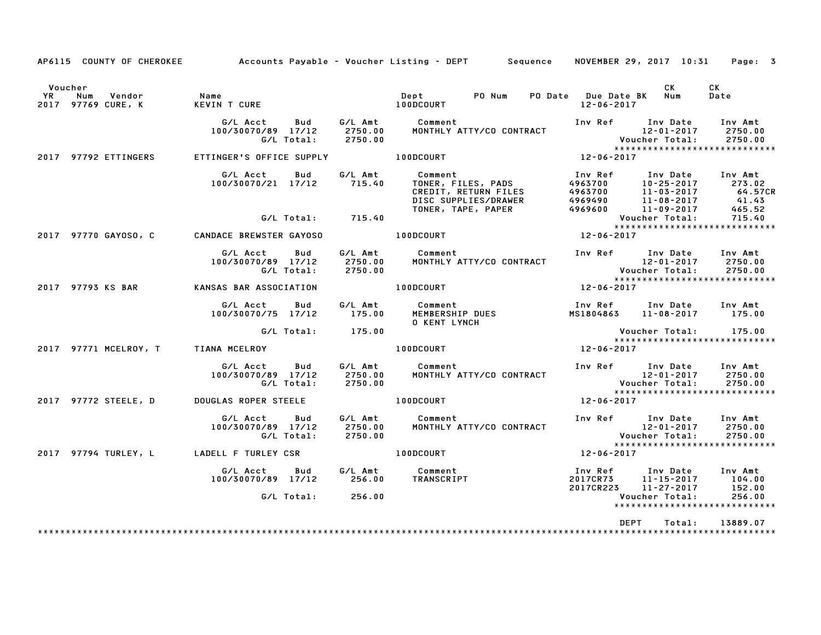|                 |                                     |                                                             |                    | AP6115 COUNTY OF CHEROKEE Accounts Payable - Voucher Listing - DEPT Sequence                                                                                                                                                                                            |                                                         |                       | NOVEMBER 29, 2017 10:31 Page: 3                      |
|-----------------|-------------------------------------|-------------------------------------------------------------|--------------------|-------------------------------------------------------------------------------------------------------------------------------------------------------------------------------------------------------------------------------------------------------------------------|---------------------------------------------------------|-----------------------|------------------------------------------------------|
| Voucher<br>YR I | Num<br>Vendor<br>2017 97769 CURE, K | <b>Name</b><br>KEVIN T CURE                                 |                    | PO Num<br>Dept<br>100DCOURT                                                                                                                                                                                                                                             | PO Date Due Date BK Num<br>12-06-2017                   | <b>CK</b>             | CK<br>Date                                           |
|                 |                                     | G/L Acct<br>Bud<br>100/30070/89 17/12<br>G/L Total:         | 2750.00<br>2750.00 | G/L Amt Comment<br>MONTHLY ATTY/CO CONTRACT                                                                                                                                                                                                                             | Inv Ref Inv Date                                        |                       | Inv Amt                                              |
|                 | 2017 97792 ETTINGERS                | ETTINGER'S OFFICE SUPPLY 100DCOURT                          |                    |                                                                                                                                                                                                                                                                         | $12 - 06 - 2017$                                        |                       |                                                      |
|                 |                                     | G/L Acct Bud<br>100/30070/21 17/12 715.40                   |                    | G/L Amt Comment<br>Comment<br>TONER, FILES, PADS<br>CREDIT, RETURN FILES<br>DISC SUPPLIES/DRAWER<br>TONER, TAPE, PAPER<br>TONER, TAPE, PAPER<br>TONER, TAPE, PAPER<br>CONER, TAPE, PAPER<br>CONER, TAPE, PAPER<br>CONER, TAPE, PAPER<br>CONER, TAPE, PAPER<br>CONER, TA | Inv Ref      Inv Date     Inv Amt                       | $10 - 25 - 2017$      | 273.02<br>$64.57CR$<br>$41.43$<br>465.52             |
|                 |                                     | G/L Total: 715.40                                           |                    |                                                                                                                                                                                                                                                                         |                                                         |                       |                                                      |
|                 | 2017 97770 GAYOSO, C                | CANDACE BREWSTER GAYOSO                                     |                    | 100DCOURT                                                                                                                                                                                                                                                               |                                                         |                       |                                                      |
|                 |                                     | G/L Acct Bud<br>100/30070/89 17/12<br>G/L Total:            | 2750.00<br>2750.00 | G/L Amt Comment<br>است السور العالمية Thy Ref Inv Date Inv_Amt<br>MONTHLY ATTY/CO CONTRACT المحتفى العامة المتحدث المتحدث العامة المتحدث العامة العامة العامة العامة ال                                                                                                 |                                                         |                       |                                                      |
|                 | 2017 97793 KS BAR                   | KANSAS BAR ASSOCIATION                                      |                    | 100DCOURT                                                                                                                                                                                                                                                               | $12 - 06 - 2017$                                        |                       |                                                      |
|                 |                                     | G/L Acct Bud<br>100/30070/75 17/12                          |                    | G/L Amt          Comment<br>175.00       MEMBERSHIP DUES<br><b>O KENT LYNCH</b>                                                                                                                                                                                         | Inv Ref Inv Date Inv Amt<br>MS1804863 11-08-2017 175.00 |                       |                                                      |
|                 |                                     | G/L Total: 175.00                                           |                    |                                                                                                                                                                                                                                                                         |                                                         | Voucher Total: 175.00 | ******************************                       |
|                 |                                     | 2017 97771 MCELROY, T TIANA MCELROY                         |                    | <b>100DCOURT</b>                                                                                                                                                                                                                                                        | $12 - 06 - 2017$                                        |                       |                                                      |
|                 |                                     | G/L Acct<br>Bud<br>100/30070/89 17/12<br>G/L Total: 2750.00 | 2750.00            | G/L Amt Comment<br>MONTHLY ATTY/CO CONTRACT                                                                                                                                                                                                                             | Inv Ref Inv Date Inv Amt                                |                       | 2750.00<br>2750.00<br>****************************** |
|                 | 2017 97772 STEELE, D                | DOUGLAS ROPER STEELE <b>And I</b> DODCOURT                  |                    |                                                                                                                                                                                                                                                                         | $12 - 06 - 2017$                                        |                       |                                                      |
|                 |                                     | G/L Acct Bud<br>100/30070/89 17/12<br>G/L Total: 2750.00    | 2750.00            | المستشر المستشر المستشر المستشر المستشر المستشر المستشر المستشر المستشر المستشر المستشر المستشر المستشر المستش<br>المستشرر المستشرر المستشرر المستشرر المستشرر المستشرر المستشرر المستشرر المستشرر المستشرر المستشرر المستشرر ال<br>G/L Amt Comment                     |                                                         |                       |                                                      |
|                 |                                     | 2017 97794 TURLEY, L LADELL F TURLEY CSR                    |                    | 100DCOURT                                                                                                                                                                                                                                                               | 12-06-2017                                              |                       |                                                      |
|                 |                                     |                                                             |                    |                                                                                                                                                                                                                                                                         | Inv Ref Inv Date Inv Amt                                |                       |                                                      |
|                 |                                     | G/L Total: 256.00                                           |                    |                                                                                                                                                                                                                                                                         |                                                         | Voucher Total:        | 256.00<br>*****************************              |
|                 |                                     |                                                             |                    |                                                                                                                                                                                                                                                                         | DEPT                                                    | Total:                | 13889.07                                             |
|                 |                                     |                                                             |                    |                                                                                                                                                                                                                                                                         |                                                         |                       |                                                      |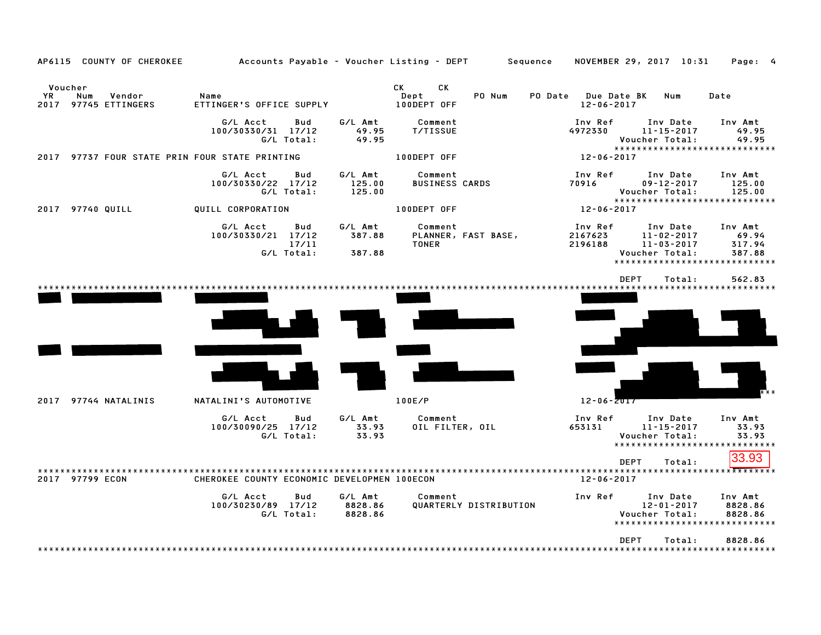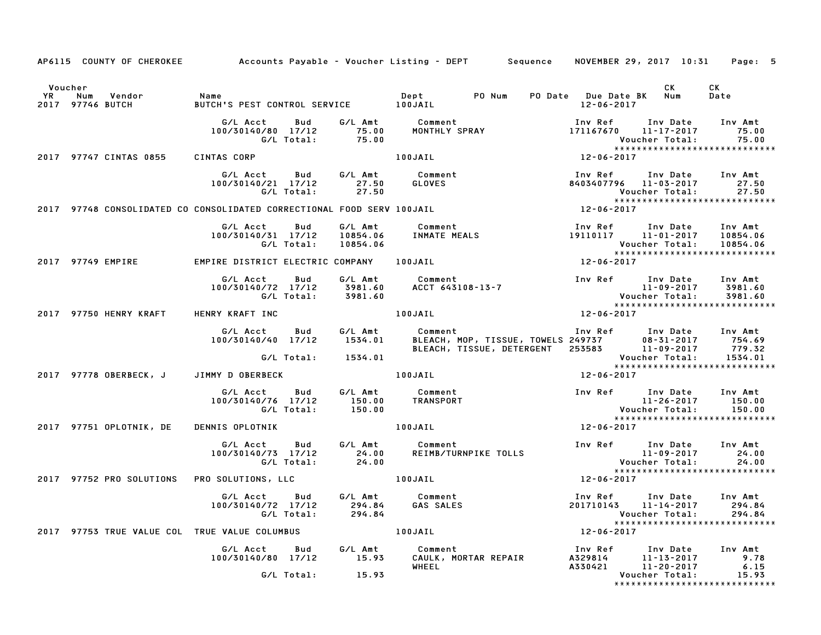|           |         |                                | AP6115 COUNTY OF CHEROKEE Accounts Payable - Voucher Listing - DEPT Sequence NOVEMBER 29, 2017 10:31 Page: 5                                         |                   |                                      |                                  |                                 |                  |                                                                                                                                                                                                                           |                           |
|-----------|---------|--------------------------------|------------------------------------------------------------------------------------------------------------------------------------------------------|-------------------|--------------------------------------|----------------------------------|---------------------------------|------------------|---------------------------------------------------------------------------------------------------------------------------------------------------------------------------------------------------------------------------|---------------------------|
| <b>YR</b> | Voucher | Num Vendor<br>2017 97746 BUTCH | Name<br>BUTCH'S PEST CONTROL SERVICE 100JAIL                                                                                                         |                   |                                      |                                  |                                 | $12 - 06 - 2017$ | CK .                                                                                                                                                                                                                      | CK<br>Date                |
|           |         |                                | G/L Acct<br>100/30140/80 17/12                                                                                                                       |                   |                                      |                                  |                                 |                  | Acct Bud G/LAmt Comment                Inv Ref Inv Date<br>140/80 17/12      75.00    MONTHLY SPRAY                       171167670    11–17–2017<br>G/L Total:       75.00<br>Inv Date<br>****************************** | Inv Amt<br>75.00<br>75.00 |
|           |         | 2017 97747 CINTAS 0855         | CINTAS CORP                                                                                                                                          |                   |                                      | Vouv<br>*****<br>12-06-2017 - 12 |                                 |                  |                                                                                                                                                                                                                           |                           |
|           |         |                                | G/L Acct Bud G/L Amt Comment<br>100/30140/21 17/12 27.50 GLOVES<br>100/30140/21 17/12 27.50<br>G/L Total: 27.50                                      |                   |                                      |                                  |                                 |                  | Inv Ref      Inv Date     Inv Amt<br>8403407796 11-03-2017<br>Voucher Total:                                                                                                                                              | 27.50<br>27.50            |
|           |         |                                | 2017 97748 CONSOLIDATED CO CONSOLIDATED CORRECTIONAL FOOD SERV 100JAIL                                                                               |                   |                                      |                                  |                                 | $12 - 06 - 2017$ | ******************************                                                                                                                                                                                            |                           |
|           |         |                                | G/L Acct<br>100/30140/31 17/12                                                                                                                       | Bud<br>G/L Total: | 10854.06                             |                                  |                                 |                  | 6/L Amt Comment 10854.06 INMATE MEALS 19110117 11-01-2017 10854.06 INMATE MEALS 19110117 11-01-2017 10854.06 10854.06 10854.06 10854.06<br>Voucher Total: 10854.06<br>****************************                        |                           |
|           |         | 2017 97749 EMPIRE              | EMPIRE DISTRICT ELECTRIC COMPANY 100JAIL                                                                                                             |                   |                                      |                                  |                                 | $12 - 06 - 2017$ |                                                                                                                                                                                                                           |                           |
|           |         |                                |                                                                                                                                                      |                   |                                      |                                  |                                 |                  |                                                                                                                                                                                                                           |                           |
|           |         | 2017 97750 HENRY KRAFT         | HENRY KRAFT INC                                                                                                                                      |                   |                                      | 100JAIL                          |                                 | $12 - 06 - 2017$ |                                                                                                                                                                                                                           |                           |
|           |         |                                | G/L Acct Bud<br>$100/30140/40$ $17/12$ $1534.01$                                                                                                     |                   | G⁄L Amt<br>G/L Total: 1534.01        | Comment                          |                                 |                  | Comment                         Inv Ref     Inv Date    Inv Amt<br>BLEACH, MOP, TISSUE, TOWELS 249737       08–31–2017     754.69<br>BLEACH, TISSUE, DETERGENT   253583        11–09–2017      779.32                     |                           |
|           |         | 2017 97778 OBERBECK, J         | JIMMY D OBERBECK                                                                                                                                     |                   |                                      | 100JAIL                          |                                 | 12-06-2017       | Voucher Total: 1534.01<br>****************************                                                                                                                                                                    |                           |
|           |         |                                |                                                                                                                                                      |                   |                                      |                                  |                                 |                  |                                                                                                                                                                                                                           |                           |
|           |         |                                | G/L Acct bud G/L Amt Comment Inv Ref Inv Date<br>100/30140/76 17/12 150.00 TRANSPORT 11-26-2017<br>G/L Total: 150.00 TRANSPORT Voucher Total: 150.00 |                   |                                      |                                  |                                 |                  | $11 - 26 - 2017$ 150.00                                                                                                                                                                                                   | Inv Amt<br>150.00         |
|           |         | 2017 97751 OPLOTNIK, DE        | <b>DENNIS OPLOTNIK</b>                                                                                                                               |                   |                                      | 100JAIL                          |                                 | 12-06-2017       |                                                                                                                                                                                                                           |                           |
|           |         |                                | G/L Acct<br>100/30140/73 17/12                                                                                                                       | Bud               | G⁄L Amt<br>24.00<br>G/L Total: 24.00 | Comment                          |                                 |                  | *****************************                                                                                                                                                                                             |                           |
|           |         |                                | 2017 97752 PRO SOLUTIONS PRO SOLUTIONS, LLC                                                                                                          |                   | <b>100JAIL</b>                       |                                  |                                 | $12 - 06 - 2017$ |                                                                                                                                                                                                                           |                           |
|           |         |                                | 100/30140/72 17/12 294.84<br>G/L Total: 294.84                                                                                                       |                   |                                      | G/L Acct Bud G/L Amt Comment     | Comment<br>GAS SALES            |                  | Inv Ref Inv Date Inv Amt<br>201710143 11-14-2017<br>Voucher Total:<br>*****************************                                                                                                                       | 294.84<br>294.84          |
|           |         |                                | 2017 97753 TRUE VALUE COL TRUE VALUE COLUMBUS                                                                                                        |                   |                                      | 100JAIL                          |                                 | $12 - 06 - 2017$ |                                                                                                                                                                                                                           |                           |
|           |         |                                | G/L Acct Bud G/L Amt<br>100/30140/80 17/12 15.93                                                                                                     |                   |                                      | Comment<br>WHEEL                 | COMMENT<br>CAULK, MORTAR REPAIR |                  |                                                                                                                                                                                                                           |                           |
|           |         |                                |                                                                                                                                                      |                   | $G/L$ Total: $15.93$                 |                                  |                                 |                  | Voucher Total:<br>*****************************                                                                                                                                                                           | 15.93                     |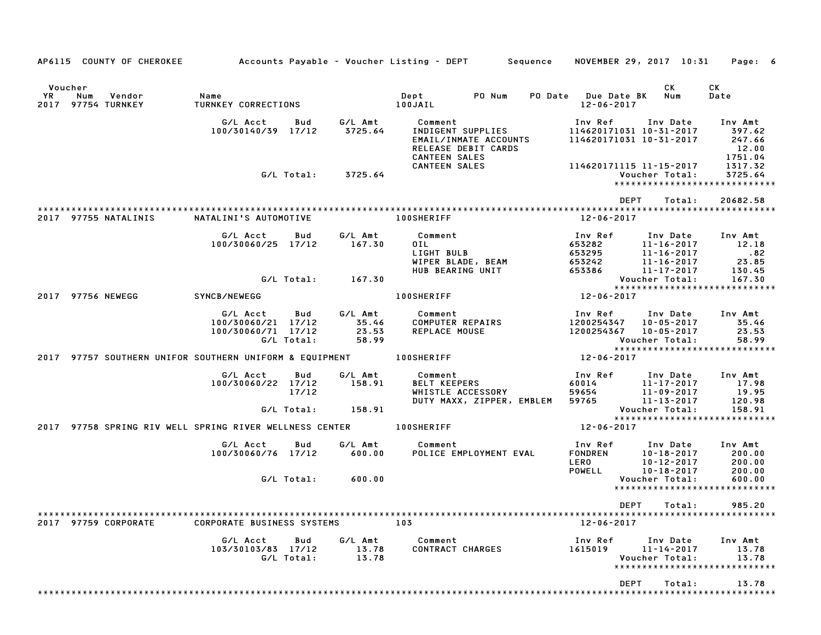|                      | AP6115 COUNTY OF CHEROKEE | Accounts Payable – Voucher Listing – DEPT         Sequence |            |                    |                                              |                                            |         |                          |             | NOVEMBER 29, 2017 10:31                                        | Page: 6                                  |
|----------------------|---------------------------|------------------------------------------------------------|------------|--------------------|----------------------------------------------|--------------------------------------------|---------|--------------------------|-------------|----------------------------------------------------------------|------------------------------------------|
| Voucher<br>YR<br>Num | Vendor                    | Name                                                       |            |                    | Dept                                         | PO Num                                     | PO Date | <b>Due Date BK</b>       |             | CK<br>Num                                                      | CK<br>Date                               |
| 2017 97754 TURNKEY   |                           | TURNKEY CORRECTIONS                                        |            |                    | 100JAIL                                      |                                            |         | $12 - 06 - 2017$         |             |                                                                |                                          |
|                      |                           | G/L Acct<br>100/30140/39 17/12                             | Bud        | G/L Amt<br>3725.64 | Comment                                      | INDIGENT SUPPLIES<br>EMAIL/INMATE ACCOUNTS |         | Inv Ref                  |             | Inv Date<br>114620171031 10-31-2017<br>114620171031 10-31-2017 | Inv Amt<br>397.62<br>247.66              |
|                      |                           |                                                            | G/L Total: | 3725.64            | <b>CANTEEN SALES</b><br><b>CANTEEN SALES</b> | RELEASE DEBIT CARDS                        |         |                          |             | 114620171115 11-15-2017<br>Voucher Total:                      | 12.00<br>1751.04<br>1317.32<br>3725.64   |
|                      |                           |                                                            |            |                    |                                              |                                            |         |                          |             |                                                                | *****************************            |
|                      |                           |                                                            |            |                    |                                              |                                            |         |                          | <b>DEPT</b> | Total:                                                         | 20682.58                                 |
| 2017 97755 NATALINIS |                           | NATALINI'S AUTOMOTIVE                                      |            |                    | <b>100SHERIFF</b>                            |                                            |         | 12-06-2017               |             |                                                                |                                          |
|                      |                           | G/L Acct                                                   | Bud        | G/L Amt            | Comment                                      |                                            |         | Inv Ref                  |             | Inv Date                                                       | Inv Amt                                  |
|                      |                           | 100/30060/25 17/12                                         |            | 167.30             | OIL.<br>LIGHT BULB                           |                                            |         | 653282<br>653295         |             | $11 - 16 - 2017$<br>$11 - 16 - 2017$                           | 12.18<br>.82                             |
|                      |                           |                                                            |            |                    |                                              | WIPER BLADE, BEAM                          |         | 653242                   |             | $11 - 16 - 2017$                                               | 23.85                                    |
|                      |                           |                                                            |            |                    | HUB BEARING UNIT                             |                                            |         | 653386                   |             | 11-17-2017                                                     | 130.45                                   |
|                      |                           |                                                            | G/L Total: | 167.30             |                                              |                                            |         |                          |             | Voucher Total:                                                 | 167.30<br>****************************** |
| 2017 97756 NEWEGG    |                           | SYNCB/NEWEGG                                               |            |                    | <b>100SHERIFF</b>                            |                                            |         | 12-06-2017               |             |                                                                |                                          |
|                      |                           | G/L Acct                                                   | Bud        | G/L Amt            | Comment                                      |                                            |         | Inv Ref                  |             | Inv Date                                                       | Inv Amt                                  |
|                      |                           | 100/30060/21 17/12<br>100/30060/71 17/12                   |            | 35.46<br>23.53     | COMPUTER REPAIRS<br>REPLACE MOUSE            |                                            |         | 1200254347<br>1200254367 |             | $10 - 05 - 2017$<br>$10 - 05 - 2017$                           | 35.46<br>23.53                           |
|                      |                           |                                                            | G/L Total: | 58.99              |                                              |                                            |         |                          |             | Voucher Total:                                                 | 58.99                                    |
|                      |                           |                                                            |            |                    |                                              |                                            |         |                          |             |                                                                | *****************************            |
|                      |                           | 2017 97757 SOUTHERN UNIFOR SOUTHERN UNIFORM & EQUIPMENT    |            |                    | <b>100SHERIFF</b>                            |                                            |         | 12-06-2017               |             |                                                                |                                          |
|                      |                           | G/L Acct                                                   | Bud        | G/L Amt            | Comment                                      |                                            |         | Inv Ref                  |             | Inv Date                                                       | Inv Amt                                  |
|                      |                           | 100/30060/22 17/12                                         | 17/12      | 158.91             | <b>BELT KEEPERS</b>                          | WHISTLE ACCESSORY                          |         | 60014<br>59654           |             | $11 - 17 - 2017$<br>11-09-2017                                 | 17.98<br>19.95                           |
|                      |                           |                                                            |            |                    |                                              | DUTY MAXX, ZIPPER, EMBLEM                  |         | 59765                    |             | 11-13-2017                                                     | 120.98                                   |
|                      |                           |                                                            | G/L Total: | 158.91             |                                              |                                            |         |                          |             | Voucher Total:                                                 | 158.91<br>*****************************  |
| 2017                 |                           | 97758 SPRING RIV WELL SPRING RIVER WELLNESS CENTER         |            |                    | <b>100SHERIFF</b>                            |                                            |         | 12-06-2017               |             |                                                                |                                          |
|                      |                           | G/L Acct                                                   | Bud        | G/L Amt            | Comment                                      |                                            |         | Inv Ref                  |             | Inv Date                                                       | Inv Amt                                  |
|                      |                           | 100/30060/76 17/12                                         |            | 600.00             |                                              | POLICE EMPLOYMENT EVAL                     |         | <b>FONDREN</b>           |             | $10 - 18 - 2017$                                               | 200.00<br>200.00                         |
|                      |                           |                                                            |            |                    |                                              |                                            |         | <b>LERO</b><br>POWELL    |             | $10 - 12 - 2017$<br>$10 - 18 - 2017$                           | 200.00                                   |
|                      |                           |                                                            | G/L Total: | 600.00             |                                              |                                            |         |                          |             | Voucher Total:                                                 | 600.00<br>*****************************  |
|                      |                           |                                                            |            |                    |                                              |                                            |         |                          |             |                                                                | 985.20                                   |
|                      |                           |                                                            |            |                    |                                              |                                            |         |                          |             | DEPT Total:                                                    |                                          |
| 2017 97759 CORPORATE |                           | <b>CORPORATE BUSINESS SYSTEMS</b>                          |            |                    | 103                                          |                                            |         | 12-06-2017               |             |                                                                |                                          |
|                      |                           | G/L Acct                                                   | Bud        | G/L Amt            | Comment                                      |                                            |         | Inv Ref                  |             | Inv Date                                                       | Inv Amt                                  |
|                      |                           | 103/30103/83 17/12                                         | G/L Total: | 13.78<br>13.78     | CONTRACT CHARGES                             |                                            |         | 1615019                  |             | $11 - 14 - 2017$<br>Voucher Total:                             | 13.78<br>13.78                           |
|                      |                           |                                                            |            |                    |                                              |                                            |         |                          |             |                                                                | *****************************            |
|                      |                           |                                                            |            |                    |                                              |                                            |         |                          | DEPT        | Total:                                                         | 13.78                                    |
|                      |                           |                                                            |            |                    |                                              |                                            |         |                          |             |                                                                |                                          |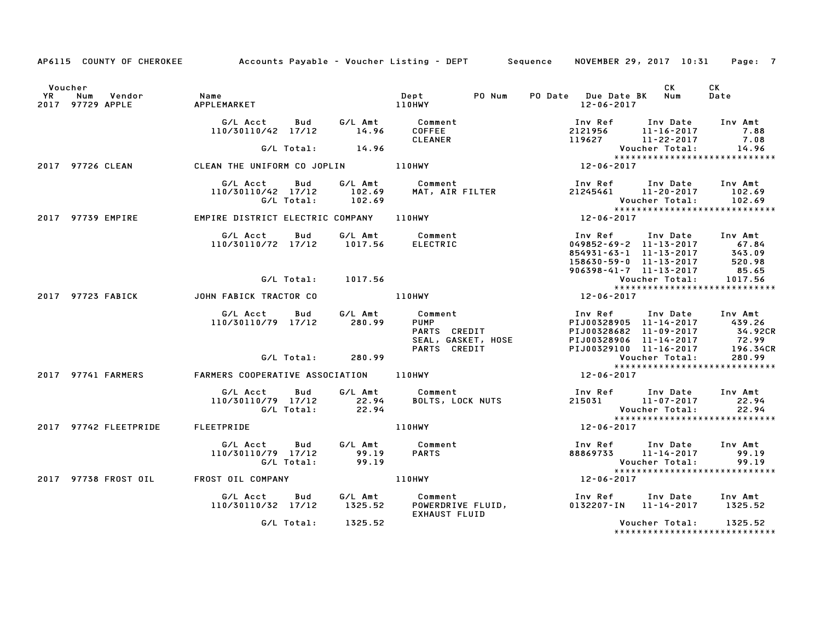|         |                                          |                                                              |                    | AP6115 COUNTY OF CHEROKEE Accounts Payable - Voucher Listing - DEPT Sequence NOVEMBER 29, 2017 10:31 Page: 7                                                                                                                               |                                                                                                                                                                 |                |                                                                                                                  |
|---------|------------------------------------------|--------------------------------------------------------------|--------------------|--------------------------------------------------------------------------------------------------------------------------------------------------------------------------------------------------------------------------------------------|-----------------------------------------------------------------------------------------------------------------------------------------------------------------|----------------|------------------------------------------------------------------------------------------------------------------|
| Voucher |                                          |                                                              |                    | PO Num                                                                                                                                                                                                                                     | PO Date Due Date BK Num<br>12-06-2017                                                                                                                           | CK             | CK<br>Date                                                                                                       |
|         |                                          |                                                              |                    | G/L Acct         Bud            G/L Amt              Comment<br>110/30110/42    17/12             14.96         COFFEE                                                                                                                     | Inv Ref      Inv Date    Inv Amt<br>2121956        11-16-2017           7.88                                                                                    |                |                                                                                                                  |
|         |                                          |                                                              |                    |                                                                                                                                                                                                                                            |                                                                                                                                                                 |                |                                                                                                                  |
|         |                                          |                                                              |                    | 110/30110/42 17/12 14.96<br>110/30110/42 17/12 14.96 COFFEE 2121956 11-16-2017 7.88<br>CLEANER 119627 11-22-2017 7.08<br>2017 97726 CLEAN CLEAN THE UNIFORM CO JOPLIN 110HWY 12-06-2017 12-06-2017                                         |                                                                                                                                                                 |                |                                                                                                                  |
|         |                                          |                                                              |                    | ---- ---<br>G/L Acct Bud G/L Amt Comment Inv Ref Inv Date Inv Amt<br>110/30110/42 17/12 102.69 MAT, AIR FILTER 21245461 11–20–2017 102.69<br>G/L Total: 102.69 MAT, AIR FILTER 21245461 11–20–2017 102.69<br>----------------------------- |                                                                                                                                                                 |                |                                                                                                                  |
|         | 2017 97739 EMPIRE                        | EMPIRE DISTRICT ELECTRIC COMPANY 110HWY                      |                    |                                                                                                                                                                                                                                            | $12 - 06 - 2017$                                                                                                                                                |                |                                                                                                                  |
|         |                                          |                                                              |                    | G/L Acct  Bud  G/L Amt  Comment<br>110/30110/72  17/12  1017.56  ELECTRIC                                                                                                                                                                  | Inv Ref Inv Date Inv Amt<br>049852-69-2<br>854931-63-1<br>854931-63-1<br>854931-63-1<br>85630-59-0<br>11-13-2017<br>85.65<br>906398-41-7<br>11-13-2017<br>85.65 |                |                                                                                                                  |
|         |                                          |                                                              | G/L Total: 1017.56 |                                                                                                                                                                                                                                            |                                                                                                                                                                 | Voucher Total: | 1017.56                                                                                                          |
|         | 2017 97723 FABICK JOHN FABICK TRACTOR CO |                                                              |                    | $110$ HWY<br>12-06-2017                                                                                                                                                                                                                    |                                                                                                                                                                 |                |                                                                                                                  |
|         |                                          | G/L Acct Bud<br>110/30110/79 17/12 280.99                    |                    | G/L Amt Comment                                                                                                                                                                                                                            |                                                                                                                                                                 |                | PIJ00328682<br>PIJ00328682 11-09-2017 34.92CR<br>PIJ00328906 11-14-2017 72.99<br>PIJ00329100 11-16-2017 196.34CR |
|         |                                          |                                                              | G/L Total: 280.99  |                                                                                                                                                                                                                                            |                                                                                                                                                                 |                |                                                                                                                  |
|         | 2017 97741 FARMERS                       |                                                              |                    | FARMERS COOPERATIVE ASSOCIATION 110HWY                                                                                                                                                                                                     | Vouc<br>*****<br>12-06-2017                                                                                                                                     |                | ******************************                                                                                   |
|         |                                          | 110/30110/79 17/12 22.94<br>G/L Total: 22.94                 |                    | G/L Acct Bud G/L Amt Comment                                                                                                                                                                                                               | Example:<br>BOLTS, LOCK NUTS For the Mate of the SOLTS, LOCK NUTS For the 215031 for the 11-07-2017                                                             |                |                                                                                                                  |
|         | 2017 97742 FLEETPRIDE                    | <b>FLEETPRIDE</b>                                            |                    | 110HWY                                                                                                                                                                                                                                     | 12-06-2017                                                                                                                                                      |                |                                                                                                                  |
|         |                                          | G/L Acct Bud<br>110/30110/79 17/12 99.19<br>G/L Total: 99.19 |                    | G/L Amt Comment<br>Comment<br>PARTS                                                                                                                                                                                                        | Inv Ref Inv Date Inv Amt<br>$88869733$ 11-14-2017 99.19                                                                                                         |                | 99.19                                                                                                            |
|         | 2017 97738 FROST OIL                     |                                                              |                    |                                                                                                                                                                                                                                            |                                                                                                                                                                 |                |                                                                                                                  |
|         |                                          |                                                              |                    | G/L Acct  Bud  G/L Amt  Comment<br>110/30110/32 17/12  1325.52  POWERDRIVE  FLUID,<br><b>EXHAUST FLUID</b>                                                                                                                                 | Inv Ref Inv Date Inv Amt<br>0132207-IN 11-14-2017 1325.52                                                                                                       |                |                                                                                                                  |
|         |                                          |                                                              | G/L Total: 1325.52 |                                                                                                                                                                                                                                            |                                                                                                                                                                 | Voucher Total: | 1325.52                                                                                                          |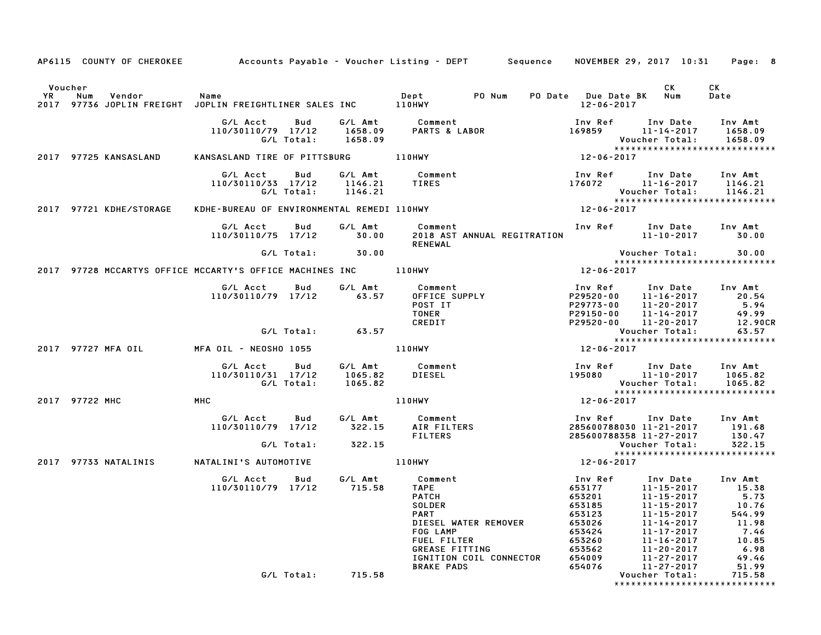|                      |                | AP6115 COUNTY OF CHEROKEE |                                                                        |                   |                               | Accounts Payable – Voucher Listing – DEPT         Sequence     NOVEMBER 29, 2017  10:31                                                                                                     |                                                                                                             |                                                                                                                                                            | Page: 8                                                                                         |
|----------------------|----------------|---------------------------|------------------------------------------------------------------------|-------------------|-------------------------------|---------------------------------------------------------------------------------------------------------------------------------------------------------------------------------------------|-------------------------------------------------------------------------------------------------------------|------------------------------------------------------------------------------------------------------------------------------------------------------------|-------------------------------------------------------------------------------------------------|
| Voucher<br><b>YR</b> | Num            | Vendor                    | Name<br>2017 97736 JOPLIN FREIGHT JOPLIN FREIGHTLINER SALES INC 110HWY |                   |                               | PO Num<br>Dept                                                                                                                                                                              | PO Date Due Date BK<br>12-06-2017                                                                           | CK<br>Num                                                                                                                                                  | СK<br>Date                                                                                      |
|                      |                |                           | G/L Acct<br>110/30110/79 17/12                                         | Bud<br>G/L Total: | G/L Amt<br>1658.09<br>1658.09 | Comment<br>PARTS & LABOR                                                                                                                                                                    | Inv Ref<br>169859                                                                                           | Inv Date<br>11-14-2017<br>Voucher Total:                                                                                                                   | Inv Amt<br>1658.09<br>1658.09<br>*****************************                                  |
|                      |                | 2017 97725 KANSASLAND     | KANSASLAND TIRE OF PITTSBURG                                           |                   |                               | <b>110HWY</b>                                                                                                                                                                               | 12-06-2017                                                                                                  |                                                                                                                                                            |                                                                                                 |
|                      |                |                           | G/L Acct<br>110/30110/33 17/12                                         | Bud<br>G/L Total: | G/L Amt<br>1146.21<br>1146.21 | Comment<br>TIRES                                                                                                                                                                            | Inv Ref<br>176072                                                                                           | Inv Date<br>11-16-2017<br>Voucher Total:                                                                                                                   | Inv Amt<br>1146.21<br>1146.21                                                                   |
|                      |                | 2017 97721 KDHE/STORAGE   | KDHE-BUREAU OF ENVIRONMENTAL REMEDI 110HWY                             |                   |                               |                                                                                                                                                                                             | 12-06-2017                                                                                                  |                                                                                                                                                            | *****************************                                                                   |
|                      |                |                           | G/L Acct<br>110/30110/75 17/12                                         | Bud               | G/L Amt<br>30.00              | Comment<br>2018 AST ANNUAL REGITRATION<br><b>RENEWAL</b>                                                                                                                                    |                                                                                                             | Inv Ref Inv Date<br>11-10-2017                                                                                                                             | Inv Amt<br>30.00                                                                                |
|                      |                |                           |                                                                        | G/L Total:        | 30.00                         |                                                                                                                                                                                             |                                                                                                             | Voucher Total:                                                                                                                                             | 30.00<br>*****************************                                                          |
|                      |                |                           | 2017 97728 MCCARTYS OFFICE MCCARTY'S OFFICE MACHINES INC               |                   |                               | 110HWY                                                                                                                                                                                      | 12-06-2017                                                                                                  |                                                                                                                                                            |                                                                                                 |
|                      |                |                           | G/L Acct<br>110/30110/79 17/12                                         | Bud               | G/L Amt<br>63.57              | Comment<br>OFFICE SUPPLY<br>POST IT<br><b>TONER</b><br>CREDIT                                                                                                                               | Inv Ref<br>P29520-00<br>P29773-00<br>P29150-00<br>P29520-00                                                 | Inv Date<br>11-16-2017<br>11-20-2017<br>11-14-2017<br>$11 - 20 - 2017$                                                                                     | Inv Amt<br>20.54<br>5.94<br>49.99<br>12.90CR                                                    |
|                      |                |                           |                                                                        | G/L Total:        | 63.57                         |                                                                                                                                                                                             |                                                                                                             | Voucher Total:                                                                                                                                             | 63.57                                                                                           |
|                      |                | 2017 97727 MFA OIL        | MFA OIL - NEOSHO 1055                                                  |                   |                               | 110HWY                                                                                                                                                                                      | 12-06-2017                                                                                                  |                                                                                                                                                            | *****************************                                                                   |
|                      |                |                           | G/L Acct<br>110/30110/31 17/12                                         | Bud<br>G/L Total: | G/L Amt<br>1065.82<br>1065.82 | Comment<br><b>DIESEL</b>                                                                                                                                                                    | Inv Ref<br>195080                                                                                           | Inv Date<br>11-10-2017<br>Voucher Total:                                                                                                                   | Inv Amt<br>1065.82<br>1065.82<br>*****************************                                  |
|                      | 2017 97722 MHC |                           | MHC                                                                    |                   |                               | <b>110HWY</b>                                                                                                                                                                               | 12-06-2017                                                                                                  |                                                                                                                                                            |                                                                                                 |
|                      |                |                           | G/L Acct<br>110/30110/79 17/12                                         | Bud               | G/L Amt<br>322.15             | Comment<br>AIR FILTERS<br><b>FILTERS</b>                                                                                                                                                    | Inv Ref<br>285600788030 11-21-2017<br>285600788358 11-27-2017                                               | Inv Date                                                                                                                                                   | Inv Amt<br>191.68<br>130.47                                                                     |
|                      |                |                           |                                                                        | G/L Total:        | 322.15                        |                                                                                                                                                                                             |                                                                                                             | Voucher Total:                                                                                                                                             | 322.15<br>*****************************                                                         |
|                      |                | 2017 97733 NATALINIS      | NATALINI'S AUTOMOTIVE                                                  |                   |                               | <b>110HWY</b>                                                                                                                                                                               | 12-06-2017                                                                                                  |                                                                                                                                                            |                                                                                                 |
|                      |                |                           | G/L Acct<br>110/30110/79 17/12                                         | Bud               | G/L Amt<br>715.58             | Comment<br><b>TAPE</b><br><b>PATCH</b><br><b>SOLDER</b><br><b>PART</b><br>DIESEL WATER REMOVER<br>FOG LAMP<br>FUEL FILTER<br>GREASE FITTING<br>IGNITION COIL CONNECTOR<br><b>BRAKE PADS</b> | Inv Ref<br>653177<br>653201<br>653185<br>653123<br>653026<br>653424<br>653260<br>653562<br>654009<br>654076 | Inv Date<br>11-15-2017<br>11-15-2017<br>11-15-2017<br>11-15-2017<br>11-14-2017<br>11-17-2017<br>11-16-2017<br>$11 - 20 - 2017$<br>11-27-2017<br>11-27-2017 | Inv Amt<br>15.38<br>5.73<br>10.76<br>544.99<br>11.98<br>7.46<br>10.85<br>6.98<br>49.46<br>51.99 |
|                      |                |                           |                                                                        | G/L Total:        | 715.58                        |                                                                                                                                                                                             |                                                                                                             | Voucher Total:                                                                                                                                             | 715.58<br>*****************************                                                         |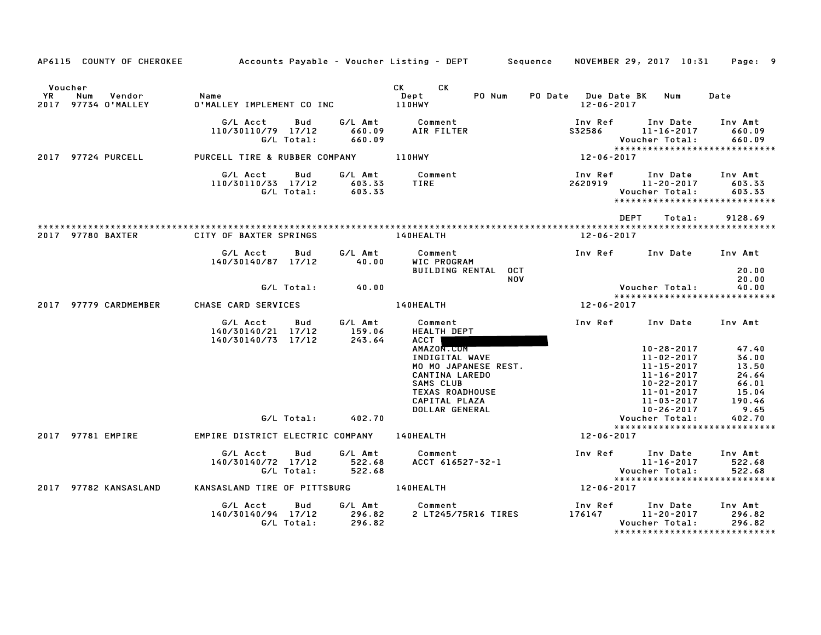|               | AP6115 COUNTY OF CHEROKEE            |                                                      |                   |                             | Accounts Payable – Voucher Listing – DEPT         Sequence     NOVEMBER 29, 2017  10:31     Page:   9 |            |                                   |                                                                                        |                             |
|---------------|--------------------------------------|------------------------------------------------------|-------------------|-----------------------------|-------------------------------------------------------------------------------------------------------|------------|-----------------------------------|----------------------------------------------------------------------------------------|-----------------------------|
|               |                                      |                                                      |                   |                             |                                                                                                       |            |                                   |                                                                                        |                             |
| Voucher<br>YR | Vendor<br>Num<br>2017 97734 O'MALLEY | Name<br>O'MALLEY IMPLEMENT CO INC                    |                   |                             | CK CK<br>PO Num<br>Dept<br><b>110HWY</b>                                                              |            | PO Date Due Date BK<br>12-06-2017 | Num                                                                                    | Date                        |
|               |                                      | G/L Acct<br>110/30110/79 17/12                       | Bud<br>G/L Total: | 660.09<br>660.09            | G/L Amt Comment<br>AIR FILTER                                                                         |            | Inv Ref<br>S32586                 | Inv Date<br>11-16-2017<br>Voucher Total:<br>*****************************              | Inv Amt<br>660.09<br>660.09 |
|               | 2017 97724 PURCELL                   | PURCELL TIRE & RUBBER COMPANY 110HWY                 |                   |                             |                                                                                                       |            | $12 - 06 - 2017$                  |                                                                                        |                             |
|               |                                      | G/L Acct<br>110/30110/33 17/12                       | Bud<br>G/L Total: | G/L Amt<br>603.33<br>603.33 | Comment<br>TIRE                                                                                       |            | Inv Ref                           | Inv Date<br>2620919 11-20-2017<br>Voucher Total:<br>******************************     | Inv Amt<br>603.33<br>603.33 |
|               |                                      |                                                      |                   |                             |                                                                                                       |            |                                   | DEPT<br>Total:                                                                         | 9128.69                     |
|               | 2017 97780 BAXTER                    | CITY OF BAXTER SPRINGS                               |                   |                             | <b>140HEALTH</b>                                                                                      |            | 12-06-2017                        |                                                                                        |                             |
|               |                                      | G/L Acct<br>140/30140/87 17/12                       | Bud               | G/L Amt<br>40.00            | Comment<br>WIC PROGRAM                                                                                |            | Inv Ref                           | Inv Date                                                                               | Inv Amt                     |
|               |                                      |                                                      |                   |                             | BUILDING RENTAL OCT                                                                                   | <b>NOV</b> |                                   |                                                                                        | 20.00<br>20.00              |
|               |                                      |                                                      | G/L Total:        | 40.00                       |                                                                                                       |            |                                   | Voucher Total:                                                                         | 40.00                       |
|               | 2017 97779 CARDMEMBER                | CHASE CARD SERVICES                                  |                   |                             | 140HEALTH                                                                                             |            | 12-06-2017                        | *****************************                                                          |                             |
|               |                                      | G/L Acct<br>140/30140/21 17/12<br>140/30140/73 17/12 | Bud               | G/L Amt<br>159.06<br>243.64 | Comment<br><b>HEALTH DEPT</b><br><b>ACCT</b>                                                          |            | Inv Ref                           | Inv Date                                                                               | Inv Amt                     |
|               |                                      |                                                      |                   |                             | AMAZON.CUM                                                                                            |            |                                   | 10-28-2017                                                                             | 47.40                       |
|               |                                      |                                                      |                   |                             | INDIGITAL WAVE<br>MO MO JAPANESE REST.                                                                |            |                                   | $11 - 02 - 2017$<br>11-15-2017                                                         | 36.00<br>13.50              |
|               |                                      |                                                      |                   |                             | CANTINA LAREDO                                                                                        |            |                                   | 11-16-2017                                                                             | 24.64                       |
|               |                                      |                                                      |                   |                             | SAMS CLUB                                                                                             |            |                                   | 10-22-2017                                                                             | 66.01                       |
|               |                                      |                                                      |                   |                             | <b>TEXAS ROADHOUSE</b>                                                                                |            |                                   | $11 - 01 - 2017$                                                                       | 15.04                       |
|               |                                      |                                                      |                   |                             | CAPITAL PLAZA                                                                                         |            |                                   | 11-03-2017                                                                             | 190.46                      |
|               |                                      |                                                      |                   |                             | DOLLAR GENERAL                                                                                        |            |                                   | 10-26-2017                                                                             | 9.65                        |
|               |                                      |                                                      | G/L Total:        | 402.70                      |                                                                                                       |            |                                   | Voucher Total:<br>*****************************                                        | 402.70                      |
|               | 2017 97781 EMPIRE                    | EMPIRE DISTRICT ELECTRIC COMPANY 140HEALTH           |                   |                             |                                                                                                       |            | 12-06-2017                        |                                                                                        |                             |
|               |                                      | G/L Acct<br>140/30140/72 17/12                       | Bud<br>G/L Total: | G/L Amt<br>522.68<br>522.68 | Comment<br>ACCT 616527-32-1                                                                           |            |                                   | Inv Ref      Inv Date<br>11-16-2017<br>Voucher Total:<br>***************************** | Inv Amt<br>522.68<br>522.68 |
|               | 2017 97782 KANSASLAND                | KANSASLAND TIRE OF PITTSBURG 140HEALTH               |                   |                             |                                                                                                       |            | 12-06-2017                        |                                                                                        |                             |
|               |                                      | G/L Acct<br>140/30140/94 17/12                       | Bud<br>G/L Total: | G/L Amt<br>296.82<br>296.82 | Comment<br>2 LT245/75R16 TIRES                                                                        |            | Inv Ref<br>176147                 | Inv Date<br>11-20-2017<br>Voucher Total:<br>*****************************              | Inv Amt<br>296.82<br>296.82 |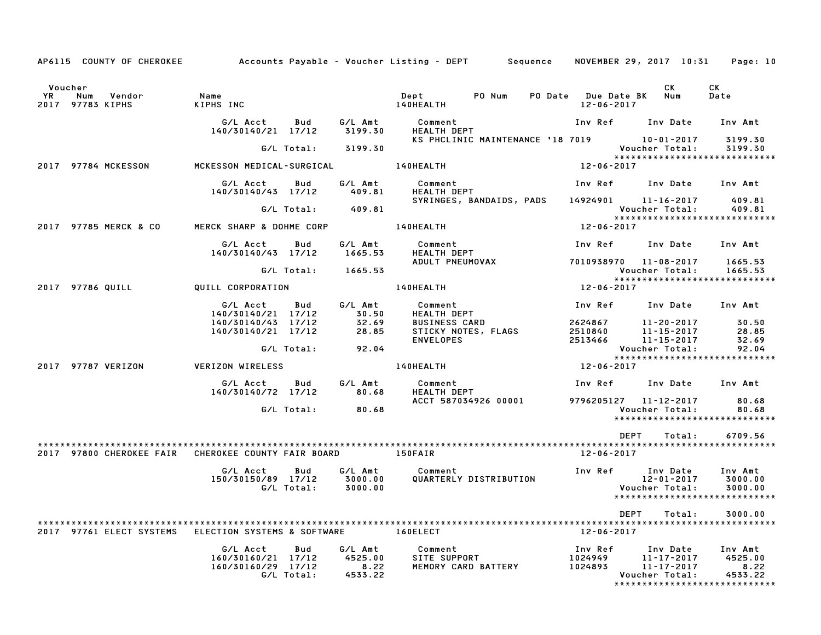|           | AP6115 COUNTY OF CHEROKEE                                   | Accounts Payable – Voucher Listing – DEPT Sequence   |                   |                                       |                               |                                     |                                             | NOVEMBER 29, 2017 10:31                                |    | Page: 10                                                               |
|-----------|-------------------------------------------------------------|------------------------------------------------------|-------------------|---------------------------------------|-------------------------------|-------------------------------------|---------------------------------------------|--------------------------------------------------------|----|------------------------------------------------------------------------|
| <b>YR</b> | Voucher<br>Num<br>Vendor<br>2017 97783 KIPHS                | Name<br>KIPHS INC                                    |                   |                                       | Dept<br>140HEALTH             | PO Num                              | PO Date Due Date BK Num<br>$12 - 06 - 2017$ | CK                                                     | CK | Date                                                                   |
|           |                                                             | G/L Acct<br>140/30140/21 17/12                       | Bud               | G/L Amt<br>3199.30                    | Comment<br><b>HEALTH DEPT</b> |                                     |                                             | Inv Ref Inv Date                                       |    | Inv Amt                                                                |
|           |                                                             |                                                      | G/L Total:        | 3199.30                               |                               | KS PHCLINIC MAINTENANCE '18 7019    |                                             | 10-01-2017<br>Voucher Total:                           |    | 3199.30<br>3199.30                                                     |
|           | 2017 97784 MCKESSON                                         | MCKESSON MEDICAL-SURGICAL                            |                   |                                       | 140HEALTH                     |                                     | $12 - 06 - 2017$                            |                                                        |    | *****************************                                          |
|           |                                                             | G/L Acct<br>140/30140/43 17/12                       | Bud               | G/L Amt<br>409.81                     | Comment<br><b>HEALTH DEPT</b> |                                     | Inv Ref Inv Date Inv Amt                    |                                                        |    |                                                                        |
|           |                                                             |                                                      | G/L Total:        | 409.81                                |                               | SYRINGES, BANDAIDS, PADS            | 14924901 11-16-2017                         | Voucher Total:                                         |    | 409.81<br>409.81                                                       |
|           | 2017 97785 MERCK & CO                                       | MERCK SHARP & DOHME CORP 140HEALTH                   |                   |                                       |                               |                                     | 12-06-2017                                  |                                                        |    | ******************************                                         |
|           |                                                             | G/L Acct<br>140/30140/43 17/12                       | Bud               | G/L Amt<br>1665.53                    | Comment<br><b>HEALTH DEPT</b> |                                     | Inv Ref                                     | Inv Date                                               |    | Inv Amt                                                                |
|           |                                                             |                                                      | G/L Total:        | 1665.53                               |                               | ADULT PNEUMOVAX                     | 7010938970 11-08-2017                       | Voucher Total:                                         |    | 1665.53<br>1665.53                                                     |
|           | 2017 97786 QUILL                                            | QUILL CORPORATION                                    |                   |                                       | 140HEALTH                     |                                     | 12-06-2017                                  |                                                        |    | *****************************                                          |
|           |                                                             | G/L Acct<br>140/30140/21 17/12                       | Bud               | G/L Amt<br>30.50                      | Comment<br><b>HEALTH DEPT</b> |                                     | Inv Ref                                     | Inv Date Inv Amt                                       |    |                                                                        |
|           |                                                             | 140/30140/43 17/12<br>140/30140/21 17/12             |                   | 32.69<br>28.85                        | <b>BUSINESS CARD</b>          | STICKY NOTES, FLAGS                 | 2624867<br>2510840                          | 11-20-2017<br>$11 - 15 - 2017$                         |    | 30.50<br>28.85                                                         |
|           |                                                             |                                                      | G/L Total:        | 92.04                                 | <b>ENVELOPES</b>              |                                     | 2513466                                     | $11 - 15 - 2017$<br>Voucher Total:                     |    | 32.69<br>92.04<br>*****************************                        |
|           | 2017 97787 VERIZON                                          | <b>VERIZON WIRELESS</b>                              |                   |                                       | 140HEALTH                     |                                     | $12 - 06 - 2017$                            |                                                        |    |                                                                        |
|           |                                                             | G/L Acct<br>140/30140/72 17/12                       | <b>Bud</b>        | G/L Amt<br>80.68                      | Comment<br><b>HEALTH DEPT</b> |                                     | Inv Ref                                     | Inv Date                                               |    | Inv Amt                                                                |
|           |                                                             |                                                      | G/L Total:        | 80.68                                 |                               | ACCT 587034926 00001                | 9796205127 11-12-2017                       | Voucher Total:                                         |    | 80.68<br>80.68<br>*****************************                        |
|           |                                                             |                                                      |                   |                                       |                               |                                     |                                             | <b>DEPT</b><br>Total:                                  |    | 6709.56                                                                |
|           | 2017 97800 CHEROKEE FAIR CHEROKEE COUNTY FAIR BOARD 150FAIR |                                                      |                   |                                       |                               |                                     | 12-06-2017                                  |                                                        |    |                                                                        |
|           |                                                             | G/L Acct<br>150/30150/89 17/12                       | Bud<br>G/L Total: | G/L Amt<br>3000.00<br>3000.00         | Comment                       | QUARTERLY DISTRIBUTION              | Inv Ref Inv Date                            | 12-01-2017<br>Voucher Total:                           |    | Inv Amt<br>3000.00<br>3000.00<br>******************************        |
|           |                                                             |                                                      |                   |                                       |                               |                                     |                                             | DEPT<br>Total:                                         |    | 3000.00                                                                |
|           | 2017 97761 ELECT SYSTEMS                                    | ELECTION SYSTEMS & SOFTWARE                          |                   |                                       | 160ELECT                      |                                     | 12-06-2017                                  |                                                        |    |                                                                        |
|           |                                                             | G/L Acct<br>160/30160/21 17/12<br>160/30160/29 17/12 | Bud<br>G/L Total: | G/L Amt<br>4525.00<br>8.22<br>4533.22 |                               | SITE SUPPORT<br>MEMORY CARD BATTERY | Inv Ref<br>1024949<br>1024893               | Inv Date<br>11-17-2017<br>11-17-2017<br>Voucher Total: |    | Inv Amt<br>4525.00<br>8.22<br>4533.22<br>***************************** |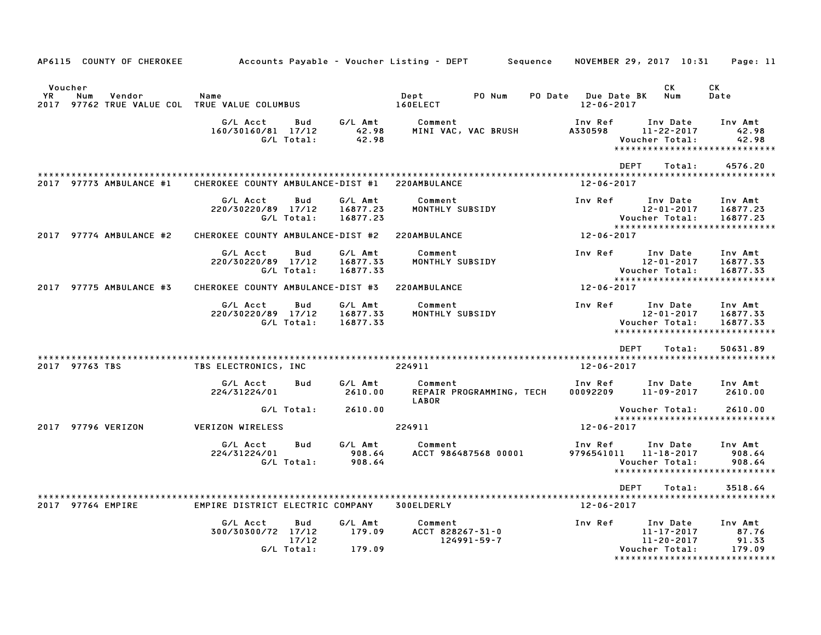| AP6115 COUNTY OF CHEROKEE                                                        |                                   |                            |                                 | Accounts Payable – Voucher Listing – DEPT<br>Sequence |                                         | NOVEMBER 29, 2017 10:31                                      | Page: 11                                                             |
|----------------------------------------------------------------------------------|-----------------------------------|----------------------------|---------------------------------|-------------------------------------------------------|-----------------------------------------|--------------------------------------------------------------|----------------------------------------------------------------------|
| Voucher<br>YR.<br>Num<br>Vendor<br>2017 97762 TRUE VALUE COL TRUE VALUE COLUMBUS | Name                              |                            |                                 | PO Num<br>Dept<br>160ELECT                            | PO Date Due Date BK<br>$12 - 06 - 2017$ | CK.<br>Num                                                   | CK<br>Date                                                           |
|                                                                                  | G/L Acct<br>160/30160/81 17/12    | Bud<br>G/L Total:          | G/L Amt<br>42.98<br>42.98       | Comment<br>MINI VAC, VAC BRUSH                        | Inv Ref<br>A330598                      | Inv Date<br>$11 - 22 - 2017$<br>Voucher Total:               | Inv Amt<br>42.98<br>42.98<br>*****************************           |
|                                                                                  |                                   |                            |                                 |                                                       | <b>DEPT</b>                             | Total:                                                       | 4576.20                                                              |
| 2017 97773 AMBULANCE #1                                                          | CHEROKEE COUNTY AMBULANCE-DIST #1 |                            |                                 | 220AMBULANCE                                          | 12-06-2017                              |                                                              |                                                                      |
|                                                                                  | G/L Acct<br>220/30220/89 17/12    | Bud<br>G/L Total:          | G/L Amt<br>16877.23<br>16877.23 | Comment<br>MONTHLY SUBSIDY                            | Inv Ref                                 | Inv Date<br>$12 - 01 - 2017$<br>Voucher Total:               | Inv Amt<br>16877.23<br>16877.23                                      |
| 2017 97774 AMBULANCE #2                                                          | CHEROKEE COUNTY AMBULANCE-DIST #2 |                            |                                 | 220AMBULANCE                                          | 12-06-2017                              |                                                              | *****************************                                        |
|                                                                                  | G/L Acct<br>220/30220/89 17/12    | Bud<br>G/L Total:          | G/L Amt<br>16877.33<br>16877.33 | Comment<br>MONTHLY SUBSIDY                            | Inv Ref                                 | Inv Date<br>$12 - 01 - 2017$<br>Voucher Total:               | Inv Amt<br>16877.33<br>16877.33                                      |
| 2017 97775 AMBULANCE #3                                                          | CHEROKEE COUNTY AMBULANCE-DIST #3 |                            |                                 | 220AMBULANCE                                          | 12-06-2017                              |                                                              | *****************************                                        |
|                                                                                  | G/L Acct<br>220/30220/89 17/12    | Bud<br>G/L Total:          | G/L Amt<br>16877.33<br>16877.33 | Comment<br>MONTHLY SUBSIDY                            | Inv Ref                                 | Inv Date<br>12-01-2017<br>Voucher Total:                     | Inv Amt<br>16877.33<br>16877.33<br>*****************************     |
|                                                                                  |                                   |                            |                                 |                                                       | <b>DEPT</b>                             | Total:                                                       | 50631.89                                                             |
| 2017 97763 TBS                                                                   | TBS ELECTRONICS, INC              |                            |                                 | 224911                                                | 12-06-2017                              |                                                              |                                                                      |
|                                                                                  | G/L Acct<br>224/31224/01          | <b>Bud</b>                 | G/L Amt<br>2610.00              | Comment<br>REPAIR PROGRAMMING, TECH<br>LABOR          | Inv Ref<br>00092209                     | Inv Date<br>11-09-2017                                       | Inv Amt<br>2610.00                                                   |
|                                                                                  |                                   | G/L Total:                 | 2610.00                         |                                                       |                                         | Voucher Total:                                               | 2610.00                                                              |
| 2017 97796 VERIZON                                                               | <b>VERIZON WIRELESS</b>           |                            |                                 | 224911                                                | $12 - 06 - 2017$                        |                                                              | *****************************                                        |
|                                                                                  | G/L Acct<br>224/31224/01          | Bud<br>G/L Total:          | G/L Amt<br>908.64<br>908.64     | Comment<br>ACCT 986487568 00001                       | Inv Ref<br>9796541011                   | Inv Date<br>11-18-2017<br>Voucher Total:                     | Inv Amt<br>908.64<br>908.64<br>*****************************         |
|                                                                                  |                                   |                            |                                 |                                                       | <b>DEPT</b>                             | Total:                                                       | 3518.64                                                              |
| 2017 97764 EMPIRE                                                                | EMPIRE DISTRICT ELECTRIC COMPANY  |                            |                                 | 300ELDERLY                                            | $12 - 06 - 2017$                        |                                                              |                                                                      |
|                                                                                  | G/L Acct<br>300/30300/72 17/12    | Bud<br>17/12<br>G/L Total: | G/L Amt<br>179.09<br>179.09     | Comment<br>ACCT 828267-31-0<br>124991-59-7            | Inv Ref                                 | Inv Date<br>11-17-2017<br>$11 - 20 - 2017$<br>Voucher Total: | Inv Amt<br>87.76<br>91.33<br>179.09<br>***************************** |